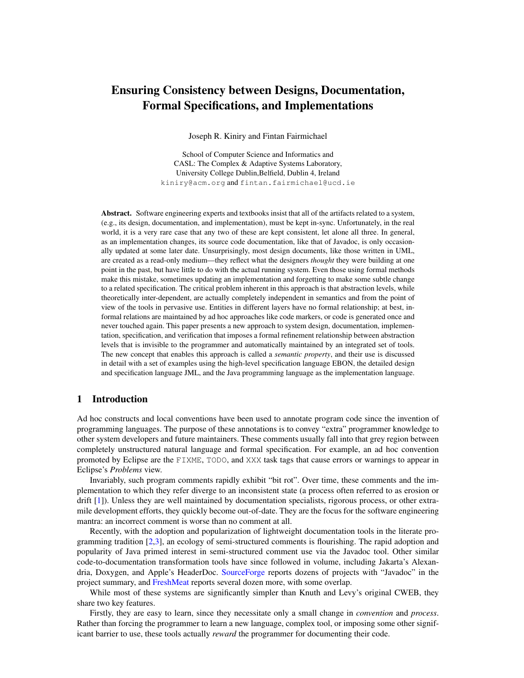# Ensuring Consistency between Designs, Documentation, Formal Specifications, and Implementations

Joseph R. Kiniry and Fintan Fairmichael

School of Computer Science and Informatics and CASL: The Complex & Adaptive Systems Laboratory, University College Dublin,Belfield, Dublin 4, Ireland kiniry@acm.org and fintan.fairmichael@ucd.ie

Abstract. Software engineering experts and textbooks insist that all of the artifacts related to a system, (e.g., its design, documentation, and implementation), must be kept in-sync. Unfortunately, in the real world, it is a very rare case that any two of these are kept consistent, let alone all three. In general, as an implementation changes, its source code documentation, like that of Javadoc, is only occasionally updated at some later date. Unsurprisingly, most design documents, like those written in UML, are created as a read-only medium—they reflect what the designers *thought* they were building at one point in the past, but have little to do with the actual running system. Even those using formal methods make this mistake, sometimes updating an implementation and forgetting to make some subtle change to a related specification. The critical problem inherent in this approach is that abstraction levels, while theoretically inter-dependent, are actually completely independent in semantics and from the point of view of the tools in pervasive use. Entities in different layers have no formal relationship; at best, informal relations are maintained by ad hoc approaches like code markers, or code is generated once and never touched again. This paper presents a new approach to system design, documentation, implementation, specification, and verification that imposes a formal refinement relationship between abstraction levels that is invisible to the programmer and automatically maintained by an integrated set of tools. The new concept that enables this approach is called a *semantic property*, and their use is discussed in detail with a set of examples using the high-level specification language EBON, the detailed design and specification language JML, and the Java programming language as the implementation language.

# 1 Introduction

Ad hoc constructs and local conventions have been used to annotate program code since the invention of programming languages. The purpose of these annotations is to convey "extra" programmer knowledge to other system developers and future maintainers. These comments usually fall into that grey region between completely unstructured natural language and formal specification. For example, an ad hoc convention promoted by Eclipse are the FIXME, TODO, and XXX task tags that cause errors or warnings to appear in Eclipse's *Problems* view.

Invariably, such program comments rapidly exhibit "bit rot". Over time, these comments and the implementation to which they refer diverge to an inconsistent state (a process often referred to as erosion or drift [\[1\]](#page-14-0)). Unless they are well maintained by documentation specialists, rigorous process, or other extramile development efforts, they quickly become out-of-date. They are the focus for the software engineering mantra: an incorrect comment is worse than no comment at all.

Recently, with the adoption and popularization of lightweight documentation tools in the literate programming tradition [\[2,](#page-14-1)[3\]](#page-14-2), an ecology of semi-structured comments is flourishing. The rapid adoption and popularity of Java primed interest in semi-structured comment use via the Javadoc tool. Other similar code-to-documentation transformation tools have since followed in volume, including Jakarta's Alexandria, Doxygen, and Apple's HeaderDoc. [SourceForge](http://www.sf.net/) reports dozens of projects with "Javadoc" in the project summary, and [FreshMeat](http://www.freshmeat.net/) reports several dozen more, with some overlap.

While most of these systems are significantly simpler than Knuth and Levy's original CWEB, they share two key features.

Firstly, they are easy to learn, since they necessitate only a small change in *convention* and *process*. Rather than forcing the programmer to learn a new language, complex tool, or imposing some other significant barrier to use, these tools actually *reward* the programmer for documenting their code.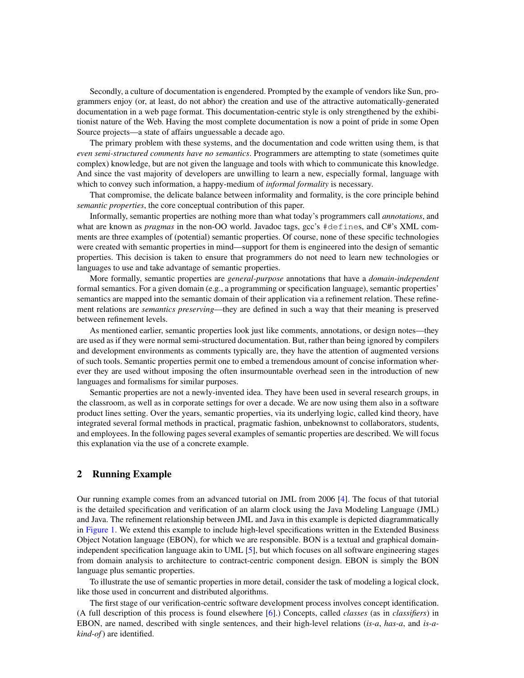Secondly, a culture of documentation is engendered. Prompted by the example of vendors like Sun, programmers enjoy (or, at least, do not abhor) the creation and use of the attractive automatically-generated documentation in a web page format. This documentation-centric style is only strengthened by the exhibitionist nature of the Web. Having the most complete documentation is now a point of pride in some Open Source projects—a state of affairs unguessable a decade ago.

The primary problem with these systems, and the documentation and code written using them, is that *even semi-structured comments have no semantics*. Programmers are attempting to state (sometimes quite complex) knowledge, but are not given the language and tools with which to communicate this knowledge. And since the vast majority of developers are unwilling to learn a new, especially formal, language with which to convey such information, a happy-medium of *informal formality* is necessary.

That compromise, the delicate balance between informality and formality, is the core principle behind *semantic properties*, the core conceptual contribution of this paper.

Informally, semantic properties are nothing more than what today's programmers call *annotations*, and what are known as *pragmas* in the non-OO world. Javadoc tags, gcc's #defines, and C#'s XML comments are three examples of (potential) semantic properties. Of course, none of these specific technologies were created with semantic properties in mind—support for them is engineered into the design of semantic properties. This decision is taken to ensure that programmers do not need to learn new technologies or languages to use and take advantage of semantic properties.

More formally, semantic properties are *general-purpose* annotations that have a *domain-independent* formal semantics. For a given domain (e.g., a programming or specification language), semantic properties' semantics are mapped into the semantic domain of their application via a refinement relation. These refinement relations are *semantics preserving*—they are defined in such a way that their meaning is preserved between refinement levels.

As mentioned earlier, semantic properties look just like comments, annotations, or design notes—they are used as if they were normal semi-structured documentation. But, rather than being ignored by compilers and development environments as comments typically are, they have the attention of augmented versions of such tools. Semantic properties permit one to embed a tremendous amount of concise information wherever they are used without imposing the often insurmountable overhead seen in the introduction of new languages and formalisms for similar purposes.

Semantic properties are not a newly-invented idea. They have been used in several research groups, in the classroom, as well as in corporate settings for over a decade. We are now using them also in a software product lines setting. Over the years, semantic properties, via its underlying logic, called kind theory, have integrated several formal methods in practical, pragmatic fashion, unbeknownst to collaborators, students, and employees. In the following pages several examples of semantic properties are described. We will focus this explanation via the use of a concrete example.

# 2 Running Example

Our running example comes from an advanced tutorial on JML from 2006 [\[4\]](#page-14-3). The focus of that tutorial is the detailed specification and verification of an alarm clock using the Java Modeling Language (JML) and Java. The refinement relationship between JML and Java in this example is depicted diagrammatically in [Figure 1.](#page-2-0) We extend this example to include high-level specifications written in the Extended Business Object Notation language (EBON), for which we are responsible. BON is a textual and graphical domainindependent specification language akin to UML [\[5\]](#page-14-4), but which focuses on all software engineering stages from domain analysis to architecture to contract-centric component design. EBON is simply the BON language plus semantic properties.

To illustrate the use of semantic properties in more detail, consider the task of modeling a logical clock, like those used in concurrent and distributed algorithms.

The first stage of our verification-centric software development process involves concept identification. (A full description of this process is found elsewhere [\[6\]](#page-14-5).) Concepts, called *classes* (as in *classifiers*) in EBON, are named, described with single sentences, and their high-level relations (*is-a*, *has-a*, and *is-akind-of*) are identified.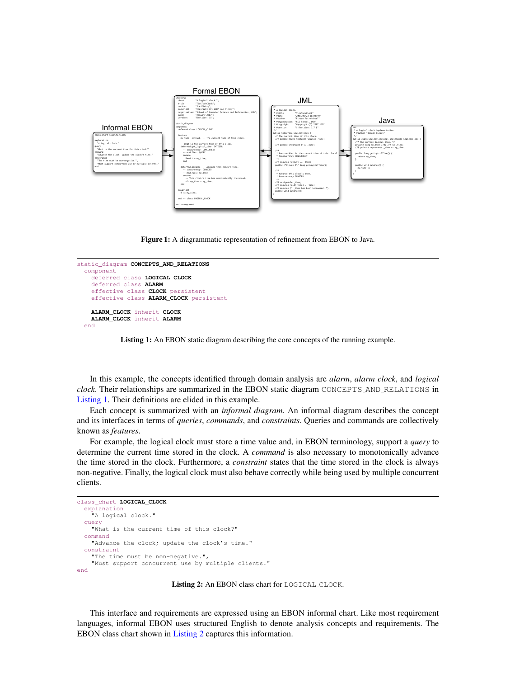

<span id="page-2-0"></span>Figure 1: A diagrammatic representation of refinement from EBON to Java.

```
static_diagram CONCEPTS_AND_RELATIONS
 component
   deferred class LOGICAL_CLOCK
   deferred class ALARM
   effective class CLOCK persistent
   effective class ALARM_CLOCK persistent
   ALARM_CLOCK inherit CLOCK
   ALARM_CLOCK inherit ALARM
 end
```
Listing 1: An EBON static diagram describing the core concepts of the running example.

In this example, the concepts identified through domain analysis are *alarm*, *alarm clock*, and *logical clock*. Their relationships are summarized in the EBON static diagram CONCEPTS AND RELATIONS in [Listing 1.](#page-2-1) Their definitions are elided in this example.

Each concept is summarized with an *informal diagram*. An informal diagram describes the concept and its interfaces in terms of *queries*, *commands*, and *constraints*. Queries and commands are collectively known as *features*.

For example, the logical clock must store a time value and, in EBON terminology, support a *query* to determine the current time stored in the clock. A *command* is also necessary to monotonically advance the time stored in the clock. Furthermore, a *constraint* states that the time stored in the clock is always non-negative. Finally, the logical clock must also behave correctly while being used by multiple concurrent clients.

```
class_chart LOGICAL_CLOCK
  explanation
    "A logical clock."
  query
    "What is the current time of this clock?"
  command
    "Advance the clock; update the clock's time."
  constraint
    "The time must be non-negative.",
    "Must support concurrent use by multiple clients."
end
```
Listing 2: An EBON class chart for LOGICAL CLOCK.

This interface and requirements are expressed using an EBON informal chart. Like most requirement languages, informal EBON uses structured English to denote analysis concepts and requirements. The EBON class chart shown in [Listing 2](#page-2-2) captures this information.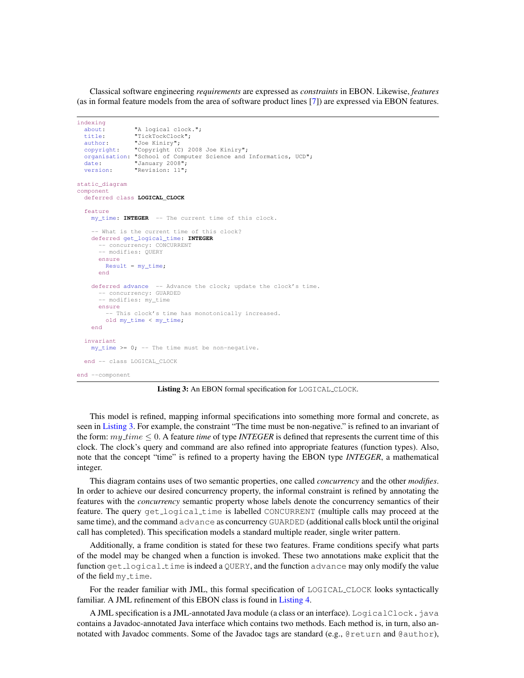Classical software engineering *requirements* are expressed as *constraints* in EBON. Likewise, *features* (as in formal feature models from the area of software product lines [\[7\]](#page-14-6)) are expressed via EBON features.

```
indexing
  about: "A logical clock.";<br>title: "TickTockClock";
               "TickTockClock";
  author: "Joe Kiniry";
  copyright: "Copyright (C) 2008 Joe Kiniry";
  organisation: "School of Computer Science and Informatics, UCD";
  date: "January 2008";
  version: "Revision: 11";
static_diagram
component
 deferred class LOGICAL_CLOCK
  feature
   my_time: INTEGER -- The current time of this clock.
    -- What is the current time of this clock?
    deferred get_logical_time: INTEGER
     -- concurrency: CONCURRENT
      -- modifies: QUERY
     ensure
       Result = my_time;
     end
    deferred advance -- Advance the clock; update the clock's time.
      -- concurrency: GUARDED
      -- modifies: my_time
     ensure
        -- This clock's time has monotonically increased.
       old my_time < my_time;
    end
  invariant
    my_time \geq 0; -- The time must be non-negative.end -- class LOGICAL_CLOCK
end --component
```
Listing 3: An EBON formal specification for LOGICAL CLOCK.

This model is refined, mapping informal specifications into something more formal and concrete, as seen in [Listing 3.](#page-3-0) For example, the constraint "The time must be non-negative." is refined to an invariant of the form:  $my_time \leq 0$ . A feature *time* of type *INTEGER* is defined that represents the current time of this clock. The clock's query and command are also refined into appropriate features (function types). Also, note that the concept "time" is refined to a property having the EBON type *INTEGER*, a mathematical integer.

This diagram contains uses of two semantic properties, one called *concurrency* and the other *modifies*. In order to achieve our desired concurrency property, the informal constraint is refined by annotating the features with the *concurrency* semantic property whose labels denote the concurrency semantics of their feature. The query get logical time is labelled CONCURRENT (multiple calls may proceed at the same time), and the command advance as concurrency GUARDED (additional calls block until the original call has completed). This specification models a standard multiple reader, single writer pattern.

Additionally, a frame condition is stated for these two features. Frame conditions specify what parts of the model may be changed when a function is invoked. These two annotations make explicit that the function get logical time is indeed a QUERY, and the function advance may only modify the value of the field  $my_time$ .

For the reader familiar with JML, this formal specification of LOGICAL CLOCK looks syntactically familiar. A JML refinement of this EBON class is found in [Listing 4.](#page-4-0)

A JML specification is a JML-annotated Java module (a class or an interface). LogicalClock.java contains a Javadoc-annotated Java interface which contains two methods. Each method is, in turn, also annotated with Javadoc comments. Some of the Javadoc tags are standard (e.g., @return and @author),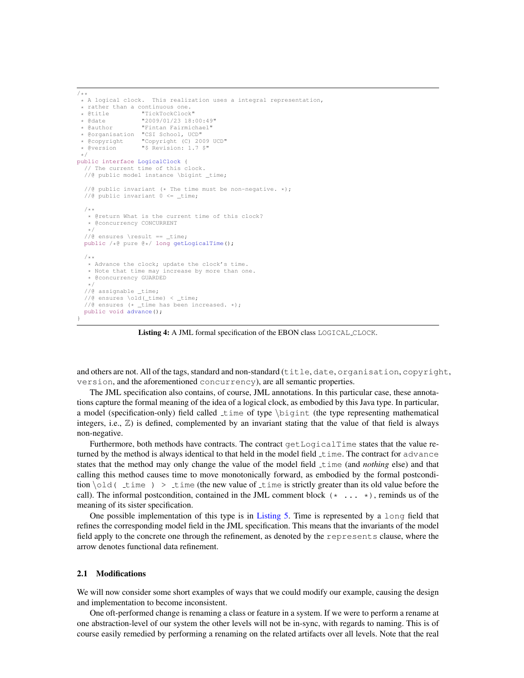```
/**
* A logical clock. This realization uses a integral representation,
* rather than a continuous one.<br>* @title "TickTockClock
* @title "TickTockClock<br>* @date "2009/01/23 18
* @date "2009/01/23 18:00:49"
                  * Fintan Fairmichael"
* @organisation "CSI School, UCD"
* @copyright "Copyright (C) 2009 UCD"<br>* @version "S Revision: 1.7 S"
                  "$ Revision: 1.7 $"
 */
public interface LogicalClock {
 // The current time of this clock.
 //@ public model instance \bigint _time;
 //@ public invariant (* The time must be non-negative. *);
 //@ public invariant 0 <= _time;
 /**
  * @return What is the current time of this clock?
   * @concurrency CONCURRENT
  */
//@ ensures \result == _time;
 public /*@ pure @*/ long getLogicalTime();
 /**
  * Advance the clock; update the clock's time.
   * Note that time may increase by more than one.
   * @concurrency GUARDED
  */
//@ assignable _time;
 //@ ensures \old(_time) < _time;
 //@ ensures (* _time has been increased. *);
 public void advance();
}
```
Listing 4: A JML formal specification of the EBON class LOGICAL CLOCK.

and others are not. All of the tags, standard and non-standard (title, date, organisation, copyright, version, and the aforementioned concurrency), are all semantic properties.

The JML specification also contains, of course, JML annotations. In this particular case, these annotations capture the formal meaning of the idea of a logical clock, as embodied by this Java type. In particular, a model (specification-only) field called time of type \bigint (the type representing mathematical integers, i.e.,  $\mathbb{Z}$ ) is defined, complemented by an invariant stating that the value of that field is always non-negative.

Furthermore, both methods have contracts. The contract getLogicalTime states that the value returned by the method is always identical to that held in the model field  $\pm$  ime. The contract for advance states that the method may only change the value of the model field  $\pm$  ime (and *nothing* else) and that calling this method causes time to move monotonically forward, as embodied by the formal postcondition  $\cdot$   $\cdot$  time ) > time (the new value of time is strictly greater than its old value before the call). The informal postcondition, contained in the JML comment block  $(* \ldots *)$ , reminds us of the meaning of its sister specification.

One possible implementation of this type is in [Listing 5.](#page-5-0) Time is represented by a long field that refines the corresponding model field in the JML specification. This means that the invariants of the model field apply to the concrete one through the refinement, as denoted by the represents clause, where the arrow denotes functional data refinement.

### 2.1 Modifications

We will now consider some short examples of ways that we could modify our example, causing the design and implementation to become inconsistent.

One oft-performed change is renaming a class or feature in a system. If we were to perform a rename at one abstraction-level of our system the other levels will not be in-sync, with regards to naming. This is of course easily remedied by performing a renaming on the related artifacts over all levels. Note that the real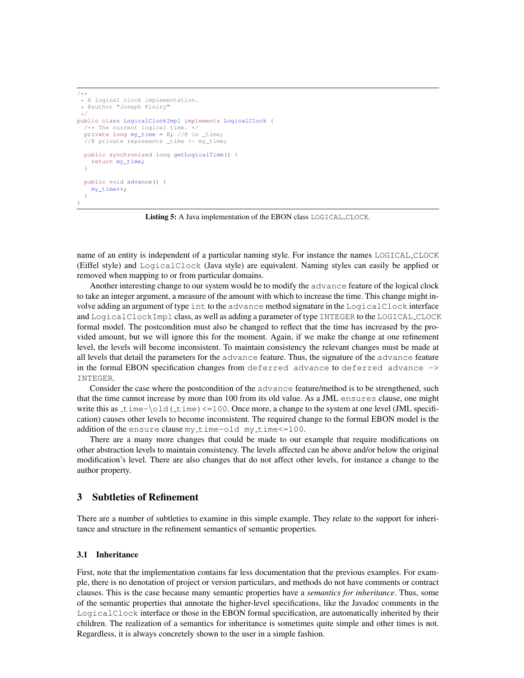```
/**
* A logical clock implementation.
* @author "Joseph Kiniry"
*/
public class LogicalClockImpl implements LogicalClock {
 /** The current logical time. */
 private long my_time = 0; //@ in _time;
  //@ private represents _time <- my_time;
 public synchronized long getLogicalTime() {
   return my_time;
 }
 public void advance() {
   my_time++;
 }
}
```
Listing 5: A Java implementation of the EBON class LOGICAL CLOCK.

name of an entity is independent of a particular naming style. For instance the names LOGICAL CLOCK (Eiffel style) and LogicalClock (Java style) are equivalent. Naming styles can easily be applied or removed when mapping to or from particular domains.

Another interesting change to our system would be to modify the advance feature of the logical clock to take an integer argument, a measure of the amount with which to increase the time. This change might involve adding an argument of type int to the advance method signature in the LogicalClock interface and LogicalClockImpl class, as well as adding a parameter of type INTEGER to the LOGICAL CLOCK formal model. The postcondition must also be changed to reflect that the time has increased by the provided amount, but we will ignore this for the moment. Again, if we make the change at one refinement level, the levels will become inconsistent. To maintain consistency the relevant changes must be made at all levels that detail the parameters for the advance feature. Thus, the signature of the advance feature in the formal EBON specification changes from deferred advance to deferred advance  $\rightarrow$ INTEGER.

Consider the case where the postcondition of the advance feature/method is to be strengthened, such that the time cannot increase by more than 100 from its old value. As a JML ensures clause, one might write this as  $\pm$  ime- $\cdot$ old( $\pm$  ime) <=100. Once more, a change to the system at one level (JML specification) causes other levels to become inconsistent. The required change to the formal EBON model is the addition of the ensure clause my\_time-old my\_time<=100.

There are a many more changes that could be made to our example that require modifications on other abstraction levels to maintain consistency. The levels affected can be above and/or below the original modification's level. There are also changes that do not affect other levels, for instance a change to the author property.

### 3 Subtleties of Refinement

There are a number of subtleties to examine in this simple example. They relate to the support for inheritance and structure in the refinement semantics of semantic properties.

### 3.1 Inheritance

First, note that the implementation contains far less documentation that the previous examples. For example, there is no denotation of project or version particulars, and methods do not have comments or contract clauses. This is the case because many semantic properties have a *semantics for inheritance*. Thus, some of the semantic properties that annotate the higher-level specifications, like the Javadoc comments in the LogicalClock interface or those in the EBON formal specification, are automatically inherited by their children. The realization of a semantics for inheritance is sometimes quite simple and other times is not. Regardless, it is always concretely shown to the user in a simple fashion.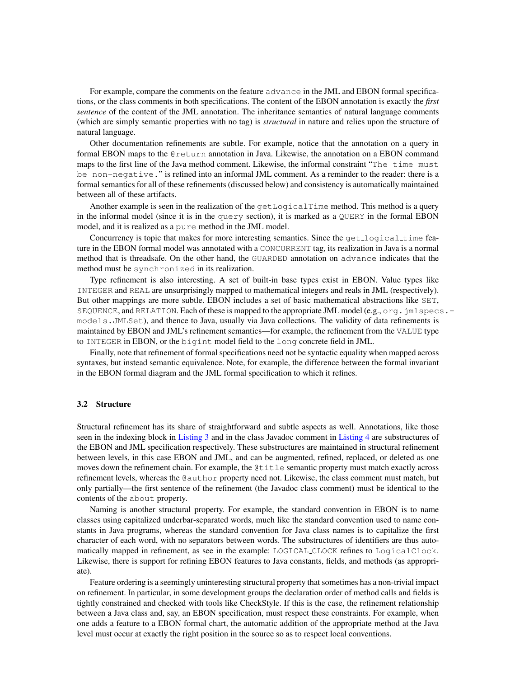For example, compare the comments on the feature advance in the JML and EBON formal specifications, or the class comments in both specifications. The content of the EBON annotation is exactly the *first sentence* of the content of the JML annotation. The inheritance semantics of natural language comments (which are simply semantic properties with no tag) is *structural* in nature and relies upon the structure of natural language.

Other documentation refinements are subtle. For example, notice that the annotation on a query in formal EBON maps to the @return annotation in Java. Likewise, the annotation on a EBON command maps to the first line of the Java method comment. Likewise, the informal constraint "The time must be non-negative." is refined into an informal JML comment. As a reminder to the reader: there is a formal semantics for all of these refinements (discussed below) and consistency is automatically maintained between all of these artifacts.

Another example is seen in the realization of the getLogicalTime method. This method is a query in the informal model (since it is in the query section), it is marked as a QUERY in the formal EBON model, and it is realized as a pure method in the JML model.

Concurrency is topic that makes for more interesting semantics. Since the get logical time feature in the EBON formal model was annotated with a CONCURRENT tag, its realization in Java is a normal method that is threadsafe. On the other hand, the GUARDED annotation on advance indicates that the method must be synchronized in its realization.

Type refinement is also interesting. A set of built-in base types exist in EBON. Value types like INTEGER and REAL are unsurprisingly mapped to mathematical integers and reals in JML (respectively). But other mappings are more subtle. EBON includes a set of basic mathematical abstractions like SET, SEQUENCE, and RELATION. Each of these is mapped to the appropriate JML model (e.g., org. jmlspecs.models.JMLSet), and thence to Java, usually via Java collections. The validity of data refinements is maintained by EBON and JML's refinement semantics—for example, the refinement from the VALUE type to INTEGER in EBON, or the bigint model field to the long concrete field in JML.

Finally, note that refinement of formal specifications need not be syntactic equality when mapped across syntaxes, but instead semantic equivalence. Note, for example, the difference between the formal invariant in the EBON formal diagram and the JML formal specification to which it refines.

### 3.2 Structure

Structural refinement has its share of straightforward and subtle aspects as well. Annotations, like those seen in the indexing block in [Listing 3](#page-3-0) and in the class Javadoc comment in [Listing 4](#page-4-0) are substructures of the EBON and JML specification respectively. These substructures are maintained in structural refinement between levels, in this case EBON and JML, and can be augmented, refined, replaced, or deleted as one moves down the refinement chain. For example, the @title semantic property must match exactly across refinement levels, whereas the @author property need not. Likewise, the class comment must match, but only partially—the first sentence of the refinement (the Javadoc class comment) must be identical to the contents of the about property.

Naming is another structural property. For example, the standard convention in EBON is to name classes using capitalized underbar-separated words, much like the standard convention used to name constants in Java programs, whereas the standard convention for Java class names is to capitalize the first character of each word, with no separators between words. The substructures of identifiers are thus automatically mapped in refinement, as see in the example: LOGICAL CLOCK refines to LogicalClock. Likewise, there is support for refining EBON features to Java constants, fields, and methods (as appropriate).

Feature ordering is a seemingly uninteresting structural property that sometimes has a non-trivial impact on refinement. In particular, in some development groups the declaration order of method calls and fields is tightly constrained and checked with tools like CheckStyle. If this is the case, the refinement relationship between a Java class and, say, an EBON specification, must respect these constraints. For example, when one adds a feature to a EBON formal chart, the automatic addition of the appropriate method at the Java level must occur at exactly the right position in the source so as to respect local conventions.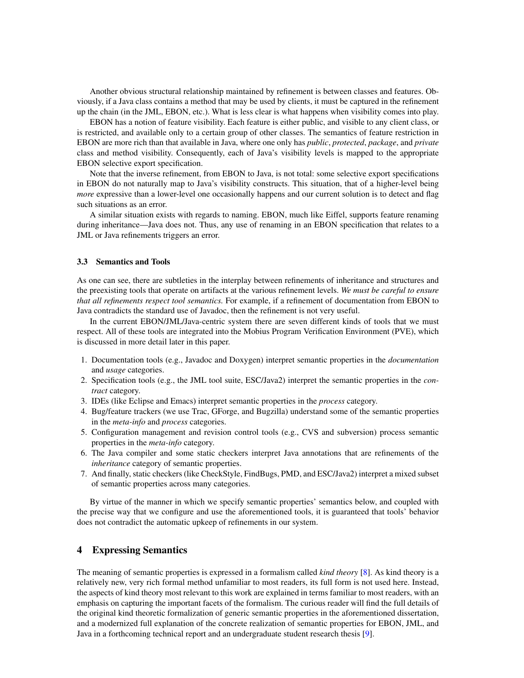Another obvious structural relationship maintained by refinement is between classes and features. Obviously, if a Java class contains a method that may be used by clients, it must be captured in the refinement up the chain (in the JML, EBON, etc.). What is less clear is what happens when visibility comes into play.

EBON has a notion of feature visibility. Each feature is either public, and visible to any client class, or is restricted, and available only to a certain group of other classes. The semantics of feature restriction in EBON are more rich than that available in Java, where one only has *public*, *protected*, *package*, and *private* class and method visibility. Consequently, each of Java's visibility levels is mapped to the appropriate EBON selective export specification.

Note that the inverse refinement, from EBON to Java, is not total: some selective export specifications in EBON do not naturally map to Java's visibility constructs. This situation, that of a higher-level being *more* expressive than a lower-level one occasionally happens and our current solution is to detect and flag such situations as an error.

A similar situation exists with regards to naming. EBON, much like Eiffel, supports feature renaming during inheritance—Java does not. Thus, any use of renaming in an EBON specification that relates to a JML or Java refinements triggers an error.

#### 3.3 Semantics and Tools

As one can see, there are subtleties in the interplay between refinements of inheritance and structures and the preexisting tools that operate on artifacts at the various refinement levels. *We must be careful to ensure that all refinements respect tool semantics.* For example, if a refinement of documentation from EBON to Java contradicts the standard use of Javadoc, then the refinement is not very useful.

In the current EBON/JML/Java-centric system there are seven different kinds of tools that we must respect. All of these tools are integrated into the Mobius Program Verification Environment (PVE), which is discussed in more detail later in this paper.

- 1. Documentation tools (e.g., Javadoc and Doxygen) interpret semantic properties in the *documentation* and *usage* categories.
- 2. Specification tools (e.g., the JML tool suite, ESC/Java2) interpret the semantic properties in the *contract* category.
- 3. IDEs (like Eclipse and Emacs) interpret semantic properties in the *process* category.
- 4. Bug/feature trackers (we use Trac, GForge, and Bugzilla) understand some of the semantic properties in the *meta-info* and *process* categories.
- 5. Configuration management and revision control tools (e.g., CVS and subversion) process semantic properties in the *meta-info* category.
- 6. The Java compiler and some static checkers interpret Java annotations that are refinements of the *inheritance* category of semantic properties.
- 7. And finally, static checkers (like CheckStyle, FindBugs, PMD, and ESC/Java2) interpret a mixed subset of semantic properties across many categories.

By virtue of the manner in which we specify semantic properties' semantics below, and coupled with the precise way that we configure and use the aforementioned tools, it is guaranteed that tools' behavior does not contradict the automatic upkeep of refinements in our system.

# 4 Expressing Semantics

The meaning of semantic properties is expressed in a formalism called *kind theory* [\[8\]](#page-14-7). As kind theory is a relatively new, very rich formal method unfamiliar to most readers, its full form is not used here. Instead, the aspects of kind theory most relevant to this work are explained in terms familiar to most readers, with an emphasis on capturing the important facets of the formalism. The curious reader will find the full details of the original kind theoretic formalization of generic semantic properties in the aforementioned dissertation, and a modernized full explanation of the concrete realization of semantic properties for EBON, JML, and Java in a forthcoming technical report and an undergraduate student research thesis [\[9\]](#page-14-8).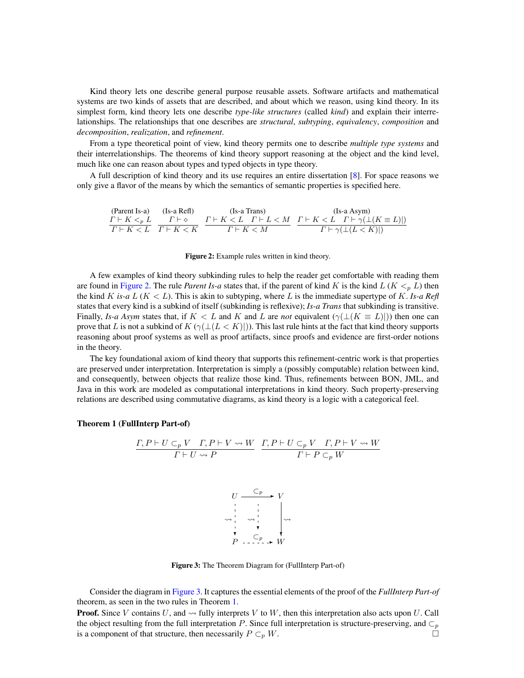Kind theory lets one describe general purpose reusable assets. Software artifacts and mathematical systems are two kinds of assets that are described, and about which we reason, using kind theory. In its simplest form, kind theory lets one describe *type-like structures* (called *kind*) and explain their interrelationships. The relationships that one describes are *structural*, *subtyping*, *equivalency*, *composition* and *decomposition*, *realization*, and *refinement*.

From a type theoretical point of view, kind theory permits one to describe *multiple type systems* and their interrelationships. The theorems of kind theory support reasoning at the object and the kind level, much like one can reason about types and typed objects in type theory.

A full description of kind theory and its use requires an entire dissertation [\[8\]](#page-14-7). For space reasons we only give a flavor of the means by which the semantics of semantic properties is specified here.

$$
\begin{array}{lll} \text{(Parent Is-a)} & \text{(Is-a Refl)}\\ \frac{\varGamma\vdash K<_p L}{\varGamma\vdash K < L} & \frac{\varGamma\vdash \diamond}{\varGamma\vdash K < K} & \frac{\varGamma\vdash K < L\quad \varGamma\vdash L < M}{\varGamma\vdash K < M} & \frac{\varGamma\vdash K < L\quad \varGamma\vdash \gamma(\bot(K\equiv L) \text{|})}{\varGamma\vdash \gamma(\bot(L < K) \text{|})} \end{array}
$$

### <span id="page-8-0"></span>Figure 2: Example rules written in kind theory.

A few examples of kind theory subkinding rules to help the reader get comfortable with reading them are found in [Figure 2.](#page-8-0) The rule *Parent Is-a* states that, if the parent of kind K is the kind  $L$  ( $K <_{p} L$ ) then the kind K is-a  $L$  ( $K < L$ ). This is akin to subtyping, where L is the immediate supertype of K. *Is-a Refl* states that every kind is a subkind of itself (subkinding is reflexive); *Is-a Trans* that subkinding is transitive. Finally, *Is-a Asym* states that, if  $K < L$  and K and L are *not* equivalent  $(\gamma(\bot(K \equiv L))))$  then one can prove that L is not a subkind of  $K(\gamma(\perp (L < K))))$ . This last rule hints at the fact that kind theory supports reasoning about proof systems as well as proof artifacts, since proofs and evidence are first-order notions in the theory.

The key foundational axiom of kind theory that supports this refinement-centric work is that properties are preserved under interpretation. Interpretation is simply a (possibly computable) relation between kind, and consequently, between objects that realize those kind. Thus, refinements between BON, JML, and Java in this work are modeled as computational interpretations in kind theory. Such property-preserving relations are described using commutative diagrams, as kind theory is a logic with a categorical feel.

#### <span id="page-8-2"></span>Theorem 1 (FullInterp Part-of)

$$
\frac{\Gamma, P \vdash U \subset_p V \quad \Gamma, P \vdash V \leadsto W}{\Gamma \vdash U \leadsto P} \quad \frac{\Gamma, P \vdash U \subset_p V \quad \Gamma, P \vdash V \leadsto W}{\Gamma \vdash P \subset_p W}
$$



<span id="page-8-1"></span>Figure 3: The Theorem Diagram for (FullInterp Part-of)

Consider the diagram in [Figure 3.](#page-8-1) It captures the essential elements of the proof of the *FullInterp Part-of* theorem, as seen in the two rules in Theorem [1.](#page-8-2)

**Proof.** Since V contains U, and  $\rightsquigarrow$  fully interprets V to W, then this interpretation also acts upon U. Call the object resulting from the full interpretation P. Since full interpretation is structure-preserving, and  $\subset_p$ is a component of that structure, then necessarily  $P \subset_p W$ .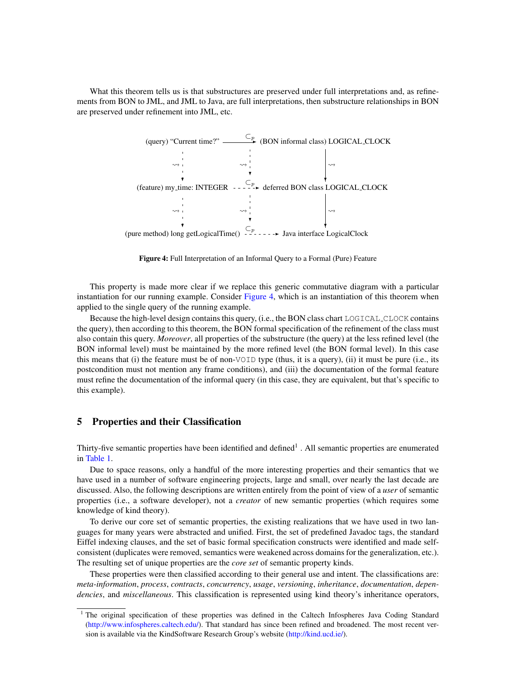What this theorem tells us is that substructures are preserved under full interpretations and, as refinements from BON to JML, and JML to Java, are full interpretations, then substructure relationships in BON are preserved under refinement into JML, etc.



<span id="page-9-0"></span>Figure 4: Full Interpretation of an Informal Query to a Formal (Pure) Feature

This property is made more clear if we replace this generic commutative diagram with a particular instantiation for our running example. Consider [Figure 4,](#page-9-0) which is an instantiation of this theorem when applied to the single query of the running example.

Because the high-level design contains this query, (i.e., the BON class chart LOGICAL CLOCK contains the query), then according to this theorem, the BON formal specification of the refinement of the class must also contain this query. *Moreover*, all properties of the substructure (the query) at the less refined level (the BON informal level) must be maintained by the more refined level (the BON formal level). In this case this means that (i) the feature must be of non-VOID type (thus, it is a query), (ii) it must be pure (i.e., its postcondition must not mention any frame conditions), and (iii) the documentation of the formal feature must refine the documentation of the informal query (in this case, they are equivalent, but that's specific to this example).

# 5 Properties and their Classification

Thirty-five semantic properties have been identified and defined<sup>1</sup>. All semantic properties are enumerated in [Table 1.](#page-10-0)

Due to space reasons, only a handful of the more interesting properties and their semantics that we have used in a number of software engineering projects, large and small, over nearly the last decade are discussed. Also, the following descriptions are written entirely from the point of view of a *user* of semantic properties (i.e., a software developer), not a *creator* of new semantic properties (which requires some knowledge of kind theory).

To derive our core set of semantic properties, the existing realizations that we have used in two languages for many years were abstracted and unified. First, the set of predefined Javadoc tags, the standard Eiffel indexing clauses, and the set of basic formal specification constructs were identified and made selfconsistent (duplicates were removed, semantics were weakened across domains for the generalization, etc.). The resulting set of unique properties are the *core set* of semantic property kinds.

These properties were then classified according to their general use and intent. The classifications are: *meta-information*, *process*, *contracts*, *concurrency*, *usage*, *versioning*, *inheritance*, *documentation*, *dependencies*, and *miscellaneous*. This classification is represented using kind theory's inheritance operators,

<sup>&</sup>lt;sup>1</sup> The original specification of these properties was defined in the Caltech Infospheres Java Coding Standard [\(http://www.infospheres.caltech.edu/\)](http://www.infospheres.caltech.edu/). That standard has since been refined and broadened. The most recent version is available via the KindSoftware Research Group's website [\(http://kind.ucd.ie/\)](http://kind.ucd.ie/).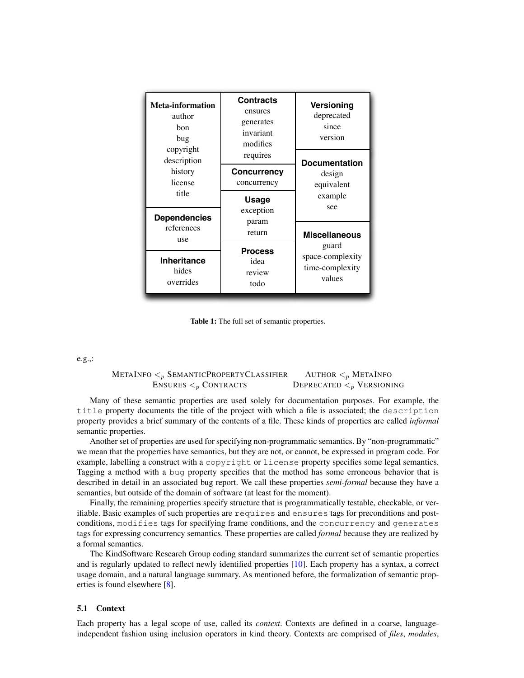| <b>Meta-information</b><br>author<br>bon<br>bug<br>copyright<br>description<br>history | <b>Contracts</b><br>ensures<br>generates<br>invariant<br>modifies | Versioning<br>deprecated<br>since<br>version           |
|----------------------------------------------------------------------------------------|-------------------------------------------------------------------|--------------------------------------------------------|
|                                                                                        | requires<br><b>Documentation</b><br>Concurrency<br>design         |                                                        |
| license<br>title                                                                       | concurrency<br>Usage                                              | equivalent<br>example<br>see                           |
| <b>Dependencies</b><br>references<br>use                                               | exception<br>param<br>return                                      | <b>Miscellaneous</b>                                   |
| <b>Inheritance</b><br>hides<br>overrides                                               | <b>Process</b><br>idea<br>review<br>todo                          | guard<br>space-complexity<br>time-complexity<br>values |

<span id="page-10-0"></span>Table 1: The full set of semantic properties.

e.g.,:

# METAINFO  $\lt_p$  SEMANTICPROPERTYCLASSIFIER AUTHOR  $\lt_p$  METAINFO ENSURES  $\lt_p$  CONTRACTS DEPRECATED  $\lt_p$  VERSIONING

Many of these semantic properties are used solely for documentation purposes. For example, the title property documents the title of the project with which a file is associated; the description property provides a brief summary of the contents of a file. These kinds of properties are called *informal* semantic properties.

Another set of properties are used for specifying non-programmatic semantics. By "non-programmatic" we mean that the properties have semantics, but they are not, or cannot, be expressed in program code. For example, labelling a construct with a copyright or license property specifies some legal semantics. Tagging a method with a bug property specifies that the method has some erroneous behavior that is described in detail in an associated bug report. We call these properties *semi-formal* because they have a semantics, but outside of the domain of software (at least for the moment).

Finally, the remaining properties specify structure that is programmatically testable, checkable, or verifiable. Basic examples of such properties are requires and ensures tags for preconditions and postconditions, modifies tags for specifying frame conditions, and the concurrency and generates tags for expressing concurrency semantics. These properties are called *formal* because they are realized by a formal semantics.

The KindSoftware Research Group coding standard summarizes the current set of semantic properties and is regularly updated to reflect newly identified properties [\[10\]](#page-14-9). Each property has a syntax, a correct usage domain, and a natural language summary. As mentioned before, the formalization of semantic properties is found elsewhere [\[8\]](#page-14-7).

### 5.1 Context

Each property has a legal scope of use, called its *context*. Contexts are defined in a coarse, languageindependent fashion using inclusion operators in kind theory. Contexts are comprised of *files*, *modules*,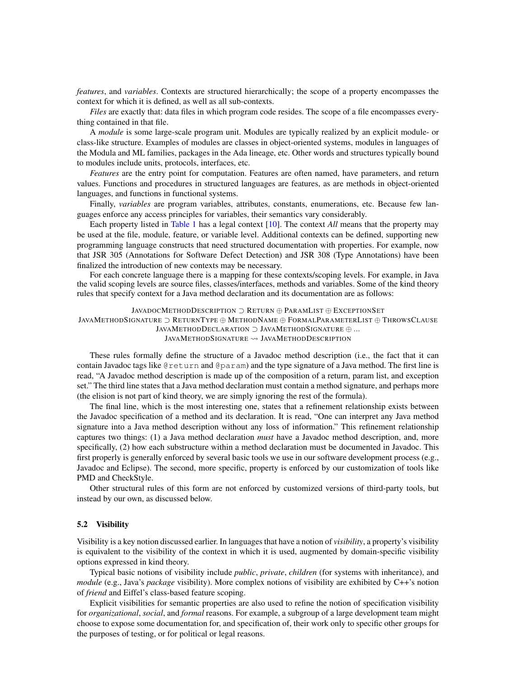*features*, and *variables*. Contexts are structured hierarchically; the scope of a property encompasses the context for which it is defined, as well as all sub-contexts.

*Files* are exactly that: data files in which program code resides. The scope of a file encompasses everything contained in that file.

A *module* is some large-scale program unit. Modules are typically realized by an explicit module- or class-like structure. Examples of modules are classes in object-oriented systems, modules in languages of the Modula and ML families, packages in the Ada lineage, etc. Other words and structures typically bound to modules include units, protocols, interfaces, etc.

*Features* are the entry point for computation. Features are often named, have parameters, and return values. Functions and procedures in structured languages are features, as are methods in object-oriented languages, and functions in functional systems.

Finally, *variables* are program variables, attributes, constants, enumerations, etc. Because few languages enforce any access principles for variables, their semantics vary considerably.

Each property listed in [Table 1](#page-10-0) has a legal context [\[10\]](#page-14-9). The context *All* means that the property may be used at the file, module, feature, or variable level. Additional contexts can be defined, supporting new programming language constructs that need structured documentation with properties. For example, now that JSR 305 (Annotations for Software Defect Detection) and JSR 308 (Type Annotations) have been finalized the introduction of new contexts may be necessary.

For each concrete language there is a mapping for these contexts/scoping levels. For example, in Java the valid scoping levels are source files, classes/interfaces, methods and variables. Some of the kind theory rules that specify context for a Java method declaration and its documentation are as follows:

JAVADOCMETHODDESCRIPTION ⊃ RETURN ⊕ PARAMLIST ⊕ EXCEPTIONSET JAVAMETHODSIGNATURE ⊃ RETURNTYPE ⊕ METHODNAME ⊕ FORMALPARAMETERLIST ⊕ THROWSCLAUSE JAVAMETHODDECLARATION ⊃ JAVAMETHODSIGNATURE ⊕ ... JAVAMETHODSIGNATURE  $\rightsquigarrow$  JAVAMETHODDESCRIPTION

These rules formally define the structure of a Javadoc method description (i.e., the fact that it can contain Javadoc tags like @return and @param) and the type signature of a Java method. The first line is read, "A Javadoc method description is made up of the composition of a return, param list, and exception set." The third line states that a Java method declaration must contain a method signature, and perhaps more (the elision is not part of kind theory, we are simply ignoring the rest of the formula).

The final line, which is the most interesting one, states that a refinement relationship exists between the Javadoc specification of a method and its declaration. It is read, "One can interpret any Java method signature into a Java method description without any loss of information." This refinement relationship captures two things: (1) a Java method declaration *must* have a Javadoc method description, and, more specifically, (2) how each substructure within a method declaration must be documented in Javadoc. This first properly is generally enforced by several basic tools we use in our software development process (e.g., Javadoc and Eclipse). The second, more specific, property is enforced by our customization of tools like PMD and CheckStyle.

Other structural rules of this form are not enforced by customized versions of third-party tools, but instead by our own, as discussed below.

#### 5.2 Visibility

Visibility is a key notion discussed earlier. In languages that have a notion of *visibility*, a property's visibility is equivalent to the visibility of the context in which it is used, augmented by domain-specific visibility options expressed in kind theory.

Typical basic notions of visibility include *public*, *private*, *children* (for systems with inheritance), and *module* (e.g., Java's *package* visibility). More complex notions of visibility are exhibited by C++'s notion of *friend* and Eiffel's class-based feature scoping.

Explicit visibilities for semantic properties are also used to refine the notion of specification visibility for *organizational*, *social*, and *formal* reasons. For example, a subgroup of a large development team might choose to expose some documentation for, and specification of, their work only to specific other groups for the purposes of testing, or for political or legal reasons.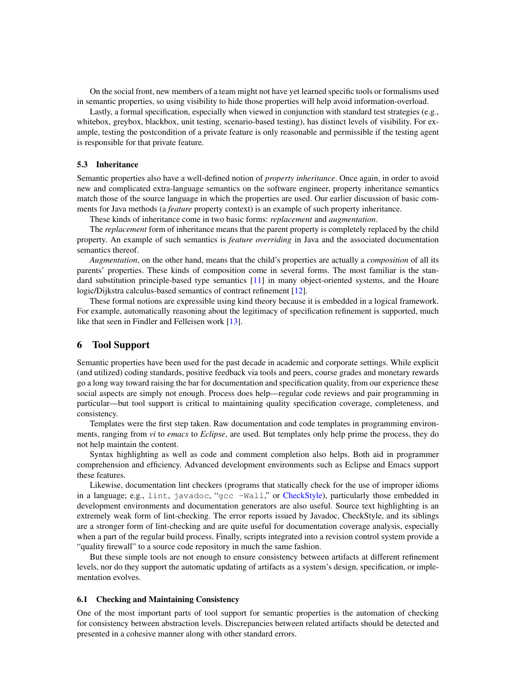On the social front, new members of a team might not have yet learned specific tools or formalisms used in semantic properties, so using visibility to hide those properties will help avoid information-overload.

Lastly, a formal specification, especially when viewed in conjunction with standard test strategies (e.g., whitebox, greybox, blackbox, unit testing, scenario-based testing), has distinct levels of visibility. For example, testing the postcondition of a private feature is only reasonable and permissible if the testing agent is responsible for that private feature.

#### 5.3 Inheritance

Semantic properties also have a well-defined notion of *property inheritance*. Once again, in order to avoid new and complicated extra-language semantics on the software engineer, property inheritance semantics match those of the source language in which the properties are used. Our earlier discussion of basic comments for Java methods (a *feature* property context) is an example of such property inheritance.

These kinds of inheritance come in two basic forms: *replacement* and *augmentation*.

The *replacement* form of inheritance means that the parent property is completely replaced by the child property. An example of such semantics is *feature overriding* in Java and the associated documentation semantics thereof.

*Augmentation*, on the other hand, means that the child's properties are actually a *composition* of all its parents' properties. These kinds of composition come in several forms. The most familiar is the standard substitution principle-based type semantics [\[11\]](#page-14-10) in many object-oriented systems, and the Hoare logic/Dijkstra calculus-based semantics of contract refinement [\[12\]](#page-14-11).

These formal notions are expressible using kind theory because it is embedded in a logical framework. For example, automatically reasoning about the legitimacy of specification refinement is supported, much like that seen in Findler and Felleisen work [\[13\]](#page-14-12).

# 6 Tool Support

Semantic properties have been used for the past decade in academic and corporate settings. While explicit (and utilized) coding standards, positive feedback via tools and peers, course grades and monetary rewards go a long way toward raising the bar for documentation and specification quality, from our experience these social aspects are simply not enough. Process does help—regular code reviews and pair programming in particular—but tool support is critical to maintaining quality specification coverage, completeness, and consistency.

Templates were the first step taken. Raw documentation and code templates in programming environments, ranging from *vi* to *emacs* to *Eclipse*, are used. But templates only help prime the process, they do not help maintain the content.

Syntax highlighting as well as code and comment completion also helps. Both aid in programmer comprehension and efficiency. Advanced development environments such as Eclipse and Emacs support these features.

Likewise, documentation lint checkers (programs that statically check for the use of improper idioms in a language; e.g., lint, javadoc, "gcc -Wall," or [CheckStyle\)](http://checkstyle.sourceforge.net/), particularly those embedded in development environments and documentation generators are also useful. Source text highlighting is an extremely weak form of lint-checking. The error reports issued by Javadoc, CheckStyle, and its siblings are a stronger form of lint-checking and are quite useful for documentation coverage analysis, especially when a part of the regular build process. Finally, scripts integrated into a revision control system provide a "quality firewall" to a source code repository in much the same fashion.

But these simple tools are not enough to ensure consistency between artifacts at different refinement levels, nor do they support the automatic updating of artifacts as a system's design, specification, or implementation evolves.

### 6.1 Checking and Maintaining Consistency

One of the most important parts of tool support for semantic properties is the automation of checking for consistency between abstraction levels. Discrepancies between related artifacts should be detected and presented in a cohesive manner along with other standard errors.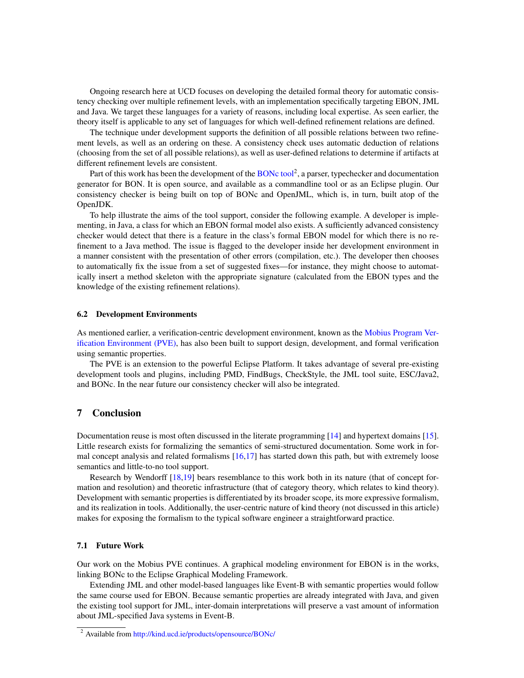Ongoing research here at UCD focuses on developing the detailed formal theory for automatic consistency checking over multiple refinement levels, with an implementation specifically targeting EBON, JML and Java. We target these languages for a variety of reasons, including local expertise. As seen earlier, the theory itself is applicable to any set of languages for which well-defined refinement relations are defined.

The technique under development supports the definition of all possible relations between two refinement levels, as well as an ordering on these. A consistency check uses automatic deduction of relations (choosing from the set of all possible relations), as well as user-defined relations to determine if artifacts at different refinement levels are consistent.

Part of this work has been the development of the [BONc tool](http://kind.ucd.ie/products/opensource/BONc/)<sup>2</sup>, a parser, typechecker and documentation generator for BON. It is open source, and available as a commandline tool or as an Eclipse plugin. Our consistency checker is being built on top of BONc and OpenJML, which is, in turn, built atop of the OpenJDK.

To help illustrate the aims of the tool support, consider the following example. A developer is implementing, in Java, a class for which an EBON formal model also exists. A sufficiently advanced consistency checker would detect that there is a feature in the class's formal EBON model for which there is no refinement to a Java method. The issue is flagged to the developer inside her development environment in a manner consistent with the presentation of other errors (compilation, etc.). The developer then chooses to automatically fix the issue from a set of suggested fixes—for instance, they might choose to automatically insert a method skeleton with the appropriate signature (calculated from the EBON types and the knowledge of the existing refinement relations).

### 6.2 Development Environments

As mentioned earlier, a verification-centric development environment, known as the [Mobius Program Ver](http://mobius.ucd.ie/)[ification Environment \(PVE\),](http://mobius.ucd.ie/) has also been built to support design, development, and formal verification using semantic properties.

The PVE is an extension to the powerful Eclipse Platform. It takes advantage of several pre-existing development tools and plugins, including PMD, FindBugs, CheckStyle, the JML tool suite, ESC/Java2, and BONc. In the near future our consistency checker will also be integrated.

### 7 Conclusion

Documentation reuse is most often discussed in the literate programming [\[14\]](#page-14-13) and hypertext domains [\[15\]](#page-14-14). Little research exists for formalizing the semantics of semi-structured documentation. Some work in formal concept analysis and related formalisms [\[16,](#page-14-15)[17\]](#page-14-16) has started down this path, but with extremely loose semantics and little-to-no tool support.

Research by Wendorff [\[18,](#page-14-17)[19\]](#page-14-18) bears resemblance to this work both in its nature (that of concept formation and resolution) and theoretic infrastructure (that of category theory, which relates to kind theory). Development with semantic properties is differentiated by its broader scope, its more expressive formalism, and its realization in tools. Additionally, the user-centric nature of kind theory (not discussed in this article) makes for exposing the formalism to the typical software engineer a straightforward practice.

### 7.1 Future Work

Our work on the Mobius PVE continues. A graphical modeling environment for EBON is in the works, linking BONc to the Eclipse Graphical Modeling Framework.

Extending JML and other model-based languages like Event-B with semantic properties would follow the same course used for EBON. Because semantic properties are already integrated with Java, and given the existing tool support for JML, inter-domain interpretations will preserve a vast amount of information about JML-specified Java systems in Event-B.

<sup>2</sup> Available from <http://kind.ucd.ie/products/opensource/BONc/>